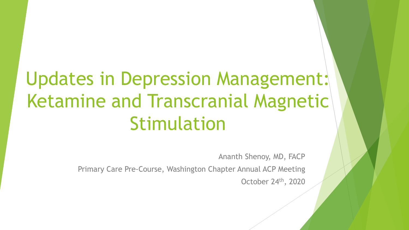# Updates in Depression Management: Ketamine and Transcranial Magnetic Stimulation

Ananth Shenoy, MD, FACP

Primary Care Pre-Course, Washington Chapter Annual ACP Meeting

October 24th, 2020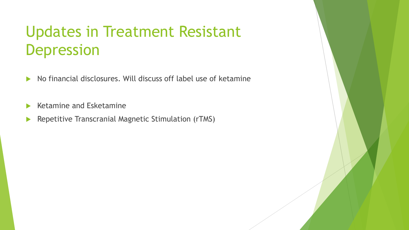# Updates in Treatment Resistant Depression

- $\blacktriangleright$  No financial disclosures. Will discuss off label use of ketamine
- Ketamine and Esketamine
- **Repetitive Transcranial Magnetic Stimulation (rTMS)**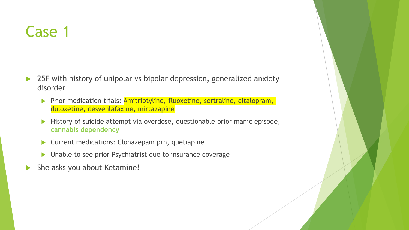## Case 1

- ▶ 25F with history of unipolar vs bipolar depression, generalized anxiety disorder
	- Prior medication trials: **Amitriptyline, fluoxetine, sertraline, citalopram,** duloxetine, desvenlafaxine, mirtazapine
	- History of suicide attempt via overdose, questionable prior manic episode, **cannabis dependency**
	- ▶ Current medications: Clonazepam prn, quetiapine
	- ▶ Unable to see prior Psychiatrist due to insurance coverage
- She asks you about Ketamine!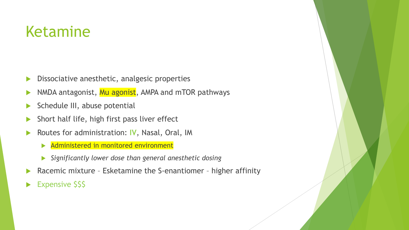### Ketamine

- Dissociative anesthetic, analgesic properties
- NMDA antagonist, Mu agonist, AMPA and mTOR pathways
- $\blacktriangleright$  Schedule III, abuse potential
- $\blacktriangleright$  Short half life, high first pass liver effect
- Routes for administration: **IV**, Nasal, Oral, IM
	- Administered in monitored environment
	- *Significantly lower dose than general anesthetic dosing*
- Racemic mixture Esketamine the S-enantiomer higher affinity
- Expensive \$\$\$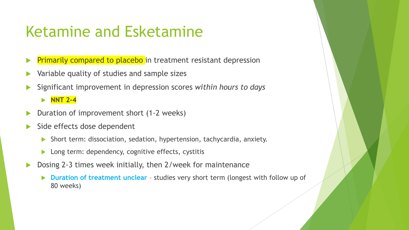### Ketamine and Esketamine

- Primarily compared to placebo in treatment resistant depression
- Variable quality of studies and sample sizes
- Significant improvement in depression scores *within hours to days*

**NNT 2-4** 

- Duration of improvement short (1-2 weeks)
- Side effects dose dependent
	- Short term: dissociation, sedation, hypertension, tachycardia, anxiety.
	- ▶ Long term: dependency, cognitive effects, cystitis
- Dosing 2-3 times week initially, then 2/week for maintenance
	- **Duration of treatment unclear** studies very short term (longest with follow up of 80 weeks)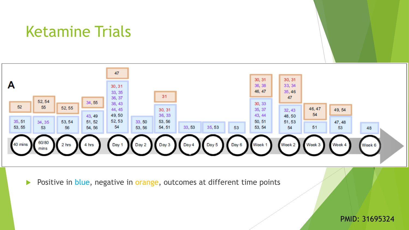#### Ketamine Trials



Positive in blue, negative in orange, outcomes at different time points

#### PMID: 31695324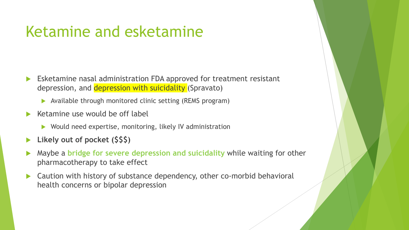#### Ketamine and esketamine

- Esketamine nasal administration FDA approved for treatment resistant depression, and depression with suicidality (Spravato)
	- Available through monitored clinic setting (REMS program)
- Ketamine use would be off label
	- Would need expertise, monitoring, likely IV administration
- **Likely out of pocket (\$\$\$)**
- Maybe a **bridge for severe depression and suicidality** while waiting for other pharmacotherapy to take effect
- Caution with history of substance dependency, other co-morbid behavioral health concerns or bipolar depression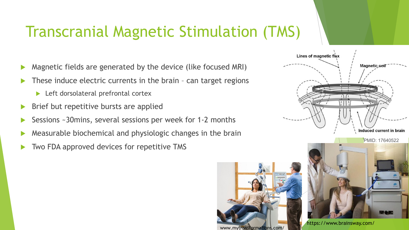# Transcranial Magnetic Stimulation (TMS)

- Magnetic fields are generated by the device (like focused MRI)
- These induce electric currents in the brain can target regions
	- ▶ Left dorsolateral prefrontal cortex
- Brief but repetitive bursts are applied
- Sessions ~30mins, several sessions per week for 1-2 months
- Measurable biochemical and physiologic changes in the brain
- Two FDA approved devices for repetitive TMS



https://www.brainsway.com/ www.mytransformations.com/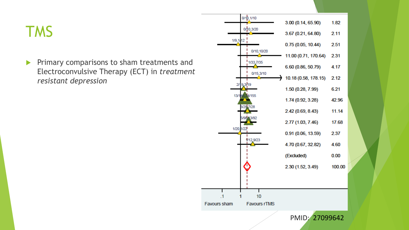### TMS

**Primary comparisons to sham treatments and** Electroconvulsive Therapy (ECT) in *treatment resistant depression*

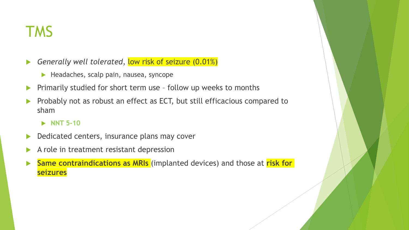#### TMS

- **Generally well tolerated, low risk of seizure (0.01%)** 
	- $\blacktriangleright$  Headaches, scalp pain, nausea, syncope
- **Primarily studied for short term use follow up weeks to months**
- Probably not as robust an effect as ECT, but still efficacious compared to sham

#### **NNT 5-10**

- Dedicated centers, insurance plans may cover
- $\blacktriangleright$  A role in treatment resistant depression
- **Same contraindications as MRIs** (implanted devices) and those at **risk for seizures**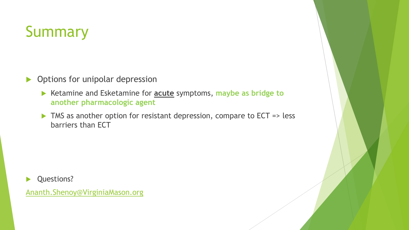# Summary

- **Depay 19 Deptions for unipolar depression** 
	- Ketamine and Esketamine for **acute** symptoms, **maybe as bridge to another pharmacologic agent**
	- ▶ TMS as another option for resistant depression, compare to ECT => less barriers than ECT

Questions?

[Ananth.Shenoy@VirginiaMason.org](mailto:Ananth.Shenoy@VirginiaMason.org)